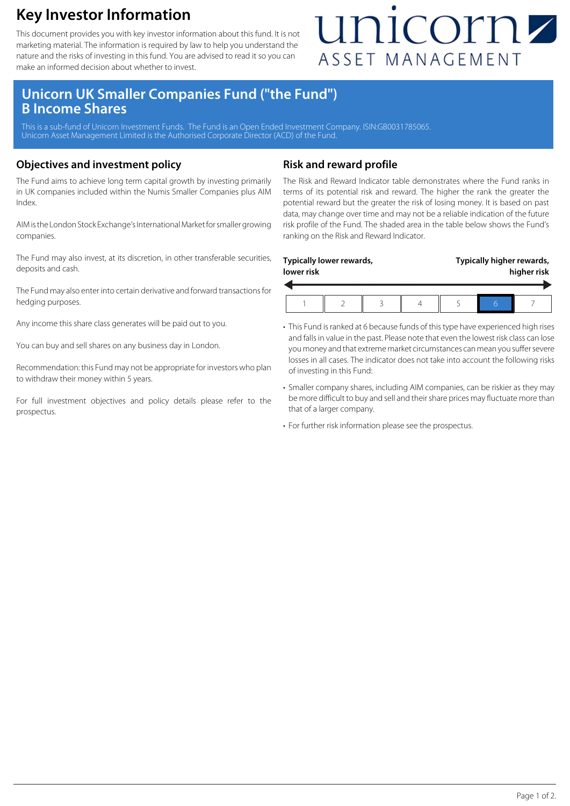### **Key Investor Information**

This document provides you with key investor information about this fund. It is not marketing material. The information is required by law to help you understand the nature and the risks of investing in this fund. You are advised to read it so you can make an informed decision about whether to invest.

## unicornz ASSET MANAGEMENT

### **Unicorn UK Smaller Companies Fund ("the Fund") B Income Shares**

This is a sub-fund of Unicorn Investment Funds. The Fund is an Open Ended Investment Company. ISIN:GB0031785065 Unicorn Asset Management Limited is the Authorised Corporate Director (ACD) of the Fund.

#### **Objectives and investment policy**

The Fund aims to achieve long term capital growth by investing primarily in UK companies included within the Numis Smaller Companies plus AIM Index.

AIM is the London Stock Exchange's International Market for smaller growing companies.

The Fund may also invest, at its discretion, in other transferable securities, deposits and cash.

The Fund may also enter into certain derivative and forward transactions for hedging purposes.

Any income this share class generates will be paid out to you.

You can buy and sell shares on any business day in London.

Recommendation: this Fund may not be appropriate for investors who plan to withdraw their money within 5 years.

For full investment objectives and policy details please refer to the prospectus.

#### **Risk and reward profile**

The Risk and Reward Indicator table demonstrates where the Fund ranks in terms of its potential risk and reward. The higher the rank the greater the potential reward but the greater the risk of losing money. It is based on past data, may change over time and may not be a reliable indication of the future risk profile of the Fund. The shaded area in the table below shows the Fund's ranking on the Risk and Reward Indicator.

| Typically lower rewards, |  |  |  | Typically higher rewards, |  |  |
|--------------------------|--|--|--|---------------------------|--|--|
| lower risk               |  |  |  | higher risk               |  |  |
|                          |  |  |  |                           |  |  |

- This Fund is ranked at 6 because funds of this type have experienced high rises and falls in value in the past. Please note that even the lowest risk class can lose you money and that extreme market circumstances can mean you suffer severe losses in all cases. The indicator does not take into account the following risks of investing in this Fund:
- Smaller company shares, including AIM companies, can be riskier as they may be more difficult to buy and sell and their share prices may fluctuate more than that of a larger company.
- For further risk information please see the prospectus.